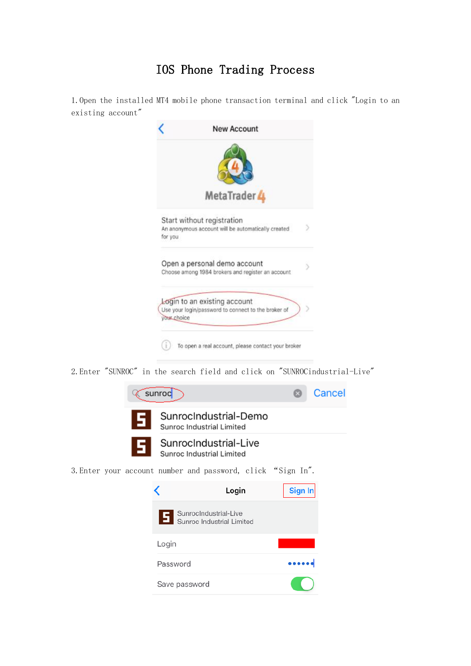## IOS Phone Trading Process

1.Open the installed MT4 mobile phone transaction terminal and click "Login to an existing account"

|             | MetaTrader 4                                                                        |  |
|-------------|-------------------------------------------------------------------------------------|--|
| for you     | Start without registration<br>An anonymous account will be automatically created    |  |
|             | Open a personal demo account<br>Choose among 1984 brokers and register an account   |  |
| your choice | Login to an existing account<br>Use your login/password to connect to the broker of |  |

2.Enter "SUNROC" in the search field and click on "SUNROCindustrial-Live"



|               | Login                                              | Sign In |
|---------------|----------------------------------------------------|---------|
|               | SunrocIndustrial-Live<br>Sunroc Industrial Limited |         |
| Login         |                                                    |         |
| Password      |                                                    |         |
| Save password |                                                    |         |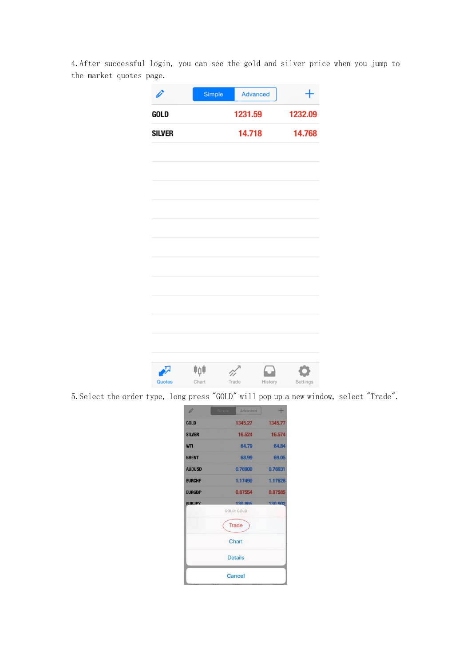4.After successful login, you can see the gold and silver price when you jump to the market quotes page.

| Ö             | Simple       | Advanced |         | $\boldsymbol{+}$ |
|---------------|--------------|----------|---------|------------------|
| GOLD          |              | 1231.59  |         | 1232.09          |
| <b>SILVER</b> |              | 14.718   |         | 14.768           |
|               |              |          |         |                  |
|               |              |          |         |                  |
|               |              |          |         |                  |
|               |              |          |         |                  |
|               |              |          |         |                  |
|               |              |          |         |                  |
|               |              |          |         |                  |
|               |              |          |         |                  |
|               |              |          |         |                  |
|               |              |          |         |                  |
|               |              |          |         |                  |
|               |              |          |         |                  |
| ∙<br>Quotes   | ≑ņ≑<br>Chart | Trade    | History | Settings         |

5.Select the order type, long press "GOLD" will pop up a new window, select "Trade".

| i.              | imp | Advanced                                       | $+$     |
|-----------------|-----|------------------------------------------------|---------|
| <b>GOLD</b>     |     | 1345.27                                        | 1345.77 |
| <b>SILVER</b>   |     | 16.524                                         | 16,574  |
| <b>WTI</b>      |     | 64.79                                          | 64.84   |
| <b>BRENT</b>    |     | 68.99                                          | 69.05   |
| <b>AUDUSD</b>   |     | 0.76900                                        | 0.76931 |
| <b>EURCHF</b>   |     | 1.17490                                        | 1.17528 |
| <b>EURGBP</b>   |     | 0.87554                                        | 0.87585 |
| <b>FIIR.IPY</b> |     | 120.865<br>GOLD: GOLD<br><b>Trade</b><br>Chart | 130 902 |
|                 |     | <b>Details</b>                                 |         |
|                 |     | <b>Cancel</b>                                  |         |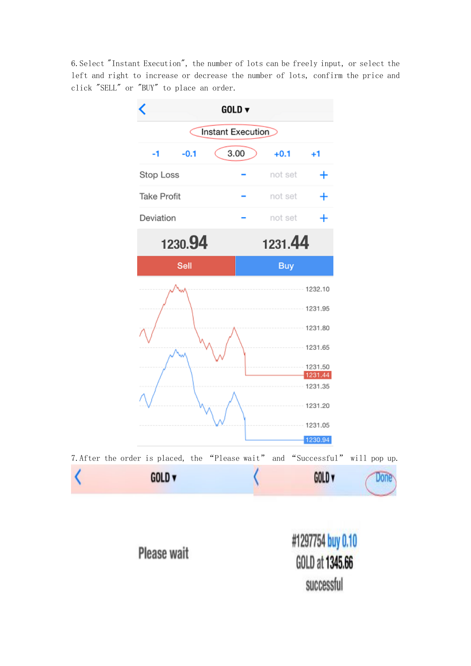6.Select "Instant Execution", the number of lots can be freely input, or select the left and right to increase or decrease the number of lots, confirm the price and click "SELL" or "BUY" to place an order.

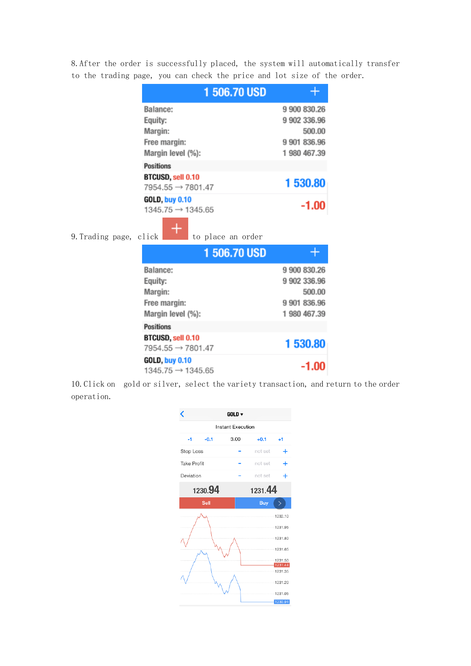8.After the order is successfully placed, the system will automatically transfer to the trading page, you can check the price and lot size of the order.

| 1 506,70 USD                  |              |
|-------------------------------|--------------|
| Balance:                      | 9 900 830.26 |
| Equity:                       | 9 902 336.96 |
| Margin:                       | 500.00       |
| Free margin:                  | 9 901 836.96 |
| Margin level (%):             | 1 980 467.39 |
| <b>Positions</b>              |              |
| BTCUSD, sell 0.10             | 1 530.80     |
| $7954.55 \rightarrow 7801.47$ |              |
| <b>GOLD, buy 0.10</b>         |              |
| 1345.75 → 1345.65             | $-1.00$      |
|                               |              |

9. Trading page, click  $\Box$  to place an order

| 1 506.70 USD                                              |              |
|-----------------------------------------------------------|--------------|
| Balance:                                                  | 9 900 830.26 |
| Equity:                                                   | 9 902 336.96 |
| Margin:                                                   | 500.00       |
| Free margin:                                              | 9 901 836.96 |
| Margin level (%):                                         | 1 980 467.39 |
| <b>Positions</b>                                          |              |
| <b>BTCUSD, sell 0.10</b><br>$7954.55 \rightarrow 7801.47$ | 1 530.80     |
| <b>GOLD, buy 0.10</b><br>$1345.75 \rightarrow 1345.65$    | $-1.00$      |

10.Click on gold or silver, select the variety transaction, and return to the order operation.

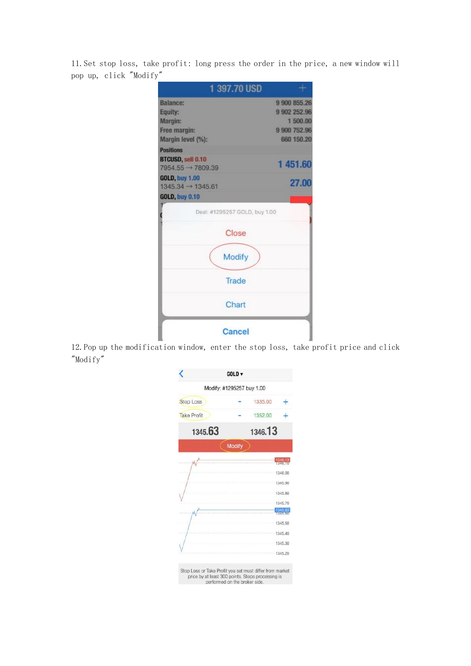11.Set stop loss, take profit: long press the order in the price, a new window will pop up, click "Modify"

| 1 397.70 USD                                           |              |
|--------------------------------------------------------|--------------|
| <b>Balance:</b>                                        | 9 900 855.26 |
| Equity:                                                | 9 902 252.96 |
| Margin:                                                | 1500.00      |
| Free margin:                                           | 9 900 752.96 |
| Margin level (%):                                      | 660 150.20   |
| <b>Positions</b>                                       |              |
| BTCUSD, sell 0.10<br>$7954.55 \rightarrow 7809.39$     | 1451.60      |
| <b>GOLD, buy 1.00</b><br>$1345.34 \rightarrow 1345.61$ | 27.00        |
| <b>GOLD, buy 0.10</b>                                  |              |
| Deal: #1295257 GOLD, buy 1.00                          |              |
| Close                                                  |              |
| <b>Modify</b>                                          |              |
| Trade                                                  |              |
| Chart                                                  |              |
| Cancel                                                 |              |

12.Pop up the modification window, enter the stop loss, take profit price and click "Modify"

|                                                                                                                                                | GOLD <sub>V</sub> |         |                     |
|------------------------------------------------------------------------------------------------------------------------------------------------|-------------------|---------|---------------------|
| Modify: #1295257 buy 1.00                                                                                                                      |                   |         |                     |
| <b>Stop Loss</b>                                                                                                                               |                   | 1335.00 |                     |
| <b>Take Profit</b>                                                                                                                             |                   | 1352.00 |                     |
| 1345.63                                                                                                                                        |                   | 1346.13 |                     |
|                                                                                                                                                | <b>Modify</b>     |         |                     |
|                                                                                                                                                |                   |         |                     |
|                                                                                                                                                |                   |         | 1346.00             |
|                                                                                                                                                |                   |         | 1345.90             |
|                                                                                                                                                |                   |         | 1345.80             |
|                                                                                                                                                |                   |         | 1345.70             |
|                                                                                                                                                |                   |         | 1345.63<br>16545.69 |
|                                                                                                                                                |                   |         | 1345.50             |
|                                                                                                                                                |                   |         | 1345.40             |
|                                                                                                                                                |                   |         | 1345.30             |
|                                                                                                                                                |                   |         | 1345.20             |
| Stop Loss or Take Profit you set must differ from market<br>price by at least 300 points. Stops processing is<br>performed on the broker side. |                   |         |                     |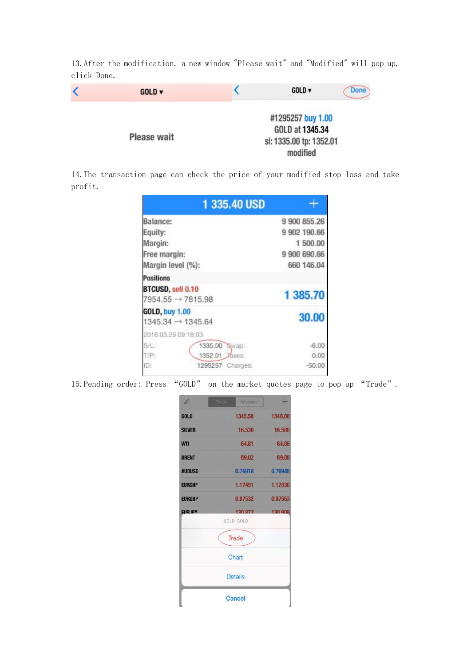13.After the modification, a new window "Please wait" and "Modified" will pop up, click Done.

| $GOLD \triangledown$ | $GOLD$ $\blacktriangledown$                                                 | <b>Done</b> |
|----------------------|-----------------------------------------------------------------------------|-------------|
| <b>Please wait</b>   | #1295257 buy 1.00<br>GOLD at 1345.34<br>sl: 1335.00 tp: 1352.01<br>modified |             |

14.The transaction page can check the price of your modified stop loss and take profit.

|                                                        | 1 335.40 USD        |              |
|--------------------------------------------------------|---------------------|--------------|
| <b>Balance:</b>                                        |                     | 9 900 855.26 |
| Equity:                                                |                     | 9 902 190.66 |
| Margin:                                                |                     | 1 500.00     |
| Free margin:                                           |                     | 9 900 690.66 |
| Margin level (%):                                      |                     | 660 146.04   |
| <b>Positions</b>                                       |                     |              |
| BTCUSD, sell 0.10<br>$7954.55 \rightarrow 7815.98$     |                     | 1 385.70     |
| <b>GOLD, buy 1.00</b><br>$1345.34 \rightarrow 1345.64$ |                     | 30.00        |
| 2018.03.26 09:18:03                                    |                     |              |
| S/L:                                                   | 1335.00<br>Swap:    | $-6.00$      |
| T/P:                                                   | 1352.01<br>Axes:    | 0.00         |
| ID:                                                    | 1295257<br>Charges: | $-50.00$     |

15.Pending order: Press "GOLD" on the market quotes page to pop up "Trade".

| Ø               |                | Advanced | $+$     |
|-----------------|----------------|----------|---------|
| <b>GOLD</b>     |                | 1345.58  | 1346.08 |
| <b>SILVER</b>   |                | 16.530   | 16,580  |
| <b>WTI</b>      |                | 64.81    | 64.86   |
| <b>BRENT</b>    |                | 69.02    | 69.08   |
| <b>AUDUSD</b>   |                | 0.76918  | 0.76948 |
| <b>EURCHF</b>   | 1.17491        |          | 1.17530 |
| <b>EURGBP</b>   |                | 0.87532  | 0.87563 |
| <b>FIIR.IPY</b> | GOLD: GOLD     | 130.877  | 130,909 |
|                 | Trade          |          |         |
|                 | Chart          |          |         |
|                 | <b>Details</b> |          |         |
|                 | <b>Cancel</b>  |          |         |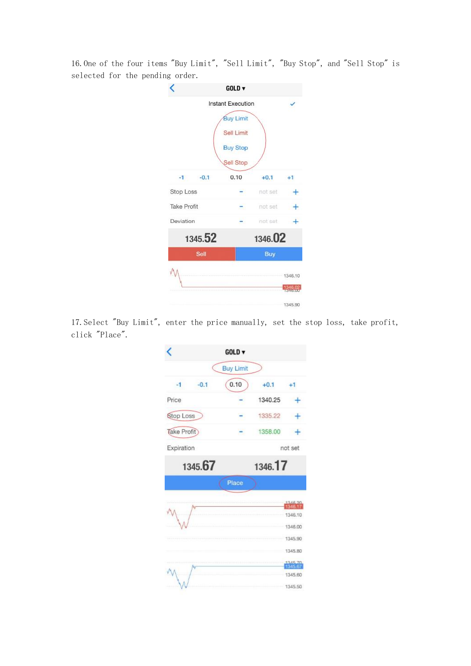16.One of the four items "Buy Limit", "Sell Limit", "Buy Stop", and "Sell Stop" is selected for the pending order.



17.Select "Buy Limit", enter the price manually, set the stop loss, take profit, click "Place".

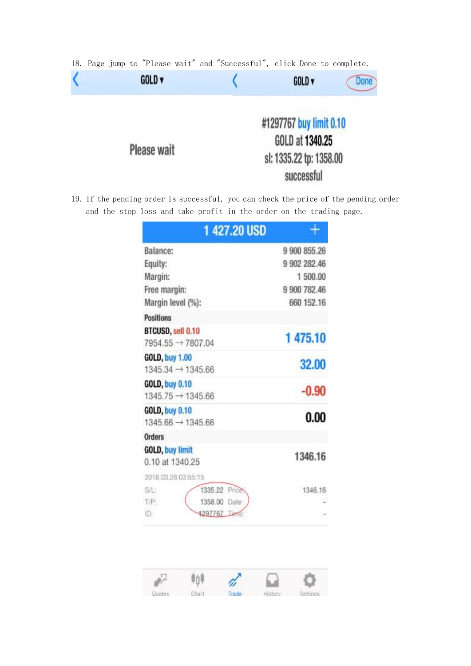|  |  |                      |  | 18. Page jump to "Please wait" and "Successful", click Done to complete. |                                                                       |                   |      |
|--|--|----------------------|--|--------------------------------------------------------------------------|-----------------------------------------------------------------------|-------------------|------|
|  |  | $GOLD \triangledown$ |  |                                                                          |                                                                       | GOLD <sub>v</sub> | Done |
|  |  | <b>Please wait</b>   |  |                                                                          | #1297767 buy limit 0.10<br>GOLD at 1340.25<br>sl: 1335.22 tp: 1358.00 | successful        |      |

19. If the pending order is successful, you can check the price of the pending order and the stop loss and take profit in the order on the trading page.

| <b>1 427.20 USD</b>                                    |              |
|--------------------------------------------------------|--------------|
| Balance:                                               | 9 900 855.26 |
| Equity:                                                | 9 902 282.46 |
| Margin:                                                | 1 500.00     |
| Free margin:                                           | 9 900 782.46 |
| Margin level (%):                                      | 660 152.16   |
| <b>Positions</b>                                       |              |
| BTCUSD, sell 0.10<br>$7954.55 \rightarrow 7807.04$     | 1475.10      |
| <b>GOLD, buy 1.00</b><br>$1345.34 \rightarrow 1345.66$ | 32,00        |
| <b>GOLD, buy 0.10</b><br>1345.75 → 1345.66             | $-0.90$      |
| GOLD, buy 0.10<br>$1345.66 \rightarrow 1345.66$        | 0.00         |
| <b>Orders</b>                                          |              |
| GOLD, buy limit<br>0.10 at 1340.25                     | 1346.16      |
| 2018.03.28.03:55:15                                    |              |
| S/L <sup>+</sup><br>1335.22 Price                      | 1346.16      |
| T/P:<br>1358.00 Date:                                  |              |
| ID:<br>1297767 THT                                     |              |

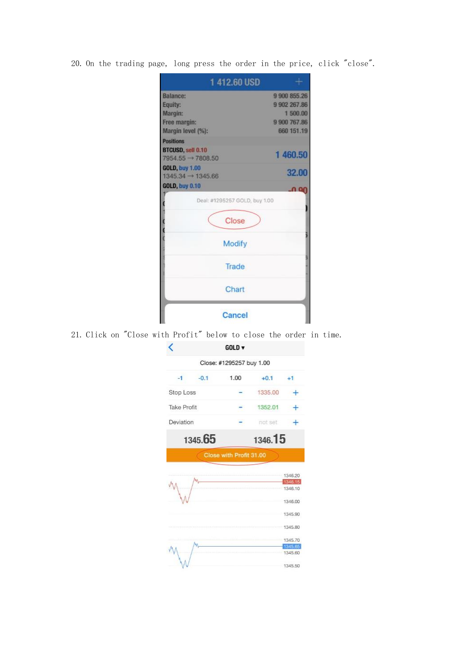20. On the trading page, long press the order in the price, click "close".

| 1412.60 USD                                                                   |                            |  |  |
|-------------------------------------------------------------------------------|----------------------------|--|--|
| <b>Balance:</b>                                                               | 9 900 855.26               |  |  |
| Equity:                                                                       | 9 902 267.86               |  |  |
| Margin:                                                                       | 1500.00                    |  |  |
| Free margin:                                                                  | 9 900 767.86<br>660 151.19 |  |  |
| Margin level (%):                                                             |                            |  |  |
| <b>Positions</b><br><b>BTCUSD, sell 0.10</b><br>$7954.55 \rightarrow 7808.50$ | 1460.50                    |  |  |
| <b>GOLD, buy 1.00</b><br>$1345.34 \rightarrow 1345.66$                        | 32.00                      |  |  |
| <b>GOLD, buy 0.10</b>                                                         |                            |  |  |
| Deal: #1295257 GOLD, buy 1.00                                                 |                            |  |  |
| Close                                                                         |                            |  |  |
| Modify                                                                        |                            |  |  |
| Trade                                                                         |                            |  |  |
| Chart                                                                         |                            |  |  |
| Cancel                                                                        |                            |  |  |

21. Click on "Close with Profit" below to close the order in time.

 $\sim$ 

| Close: #1295257 buy 1.00<br>$+0.1$<br>1335.00<br>1352.01<br>not set | +1                                                  |
|---------------------------------------------------------------------|-----------------------------------------------------|
|                                                                     |                                                     |
|                                                                     |                                                     |
|                                                                     |                                                     |
|                                                                     |                                                     |
|                                                                     |                                                     |
| 1346.15                                                             |                                                     |
|                                                                     |                                                     |
|                                                                     | 1346.20<br>1346.15<br>1346.10<br>1346.00<br>1345.90 |
|                                                                     | 1345,80<br>1345.70<br>1345.65<br>1345.60<br>1345.50 |
|                                                                     | Close with Profit 31.00                             |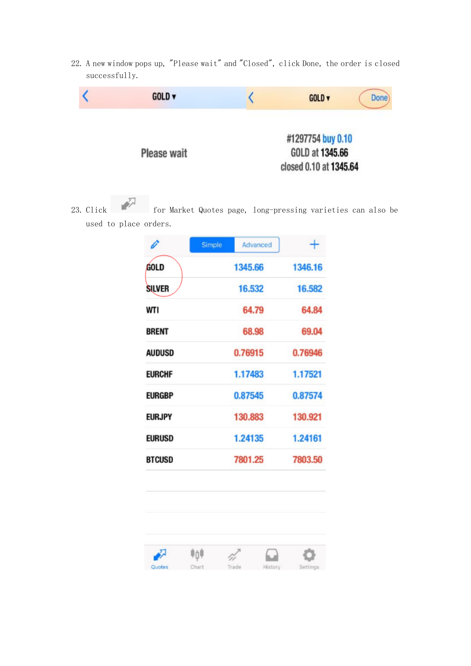22. A new window pops up, "Please wait" and "Closed", click Done, the order is closed successfully.



23. Click for Market Quotes page, long-pressing varieties can also be used to place orders.

| Ü             | Simple<br>Advanced |         |
|---------------|--------------------|---------|
| <b>GOLD</b>   | 1345.66            | 1346.16 |
| <b>SILVER</b> | 16.532             | 16.582  |
| WTI           | 64.79              | 64.84   |
| <b>BRENT</b>  | 68.98              | 69.04   |
| <b>AUDUSD</b> | 0.76915            | 0.76946 |
| <b>EURCHF</b> | 1.17483            | 1.17521 |
| <b>EURGBP</b> | 0.87545            | 0.87574 |
| <b>EURJPY</b> | 130.883            | 130.921 |
| <b>EURUSD</b> | 1.24135            | 1.24161 |
| <b>BTCUSD</b> | 7801.25            | 7803.50 |

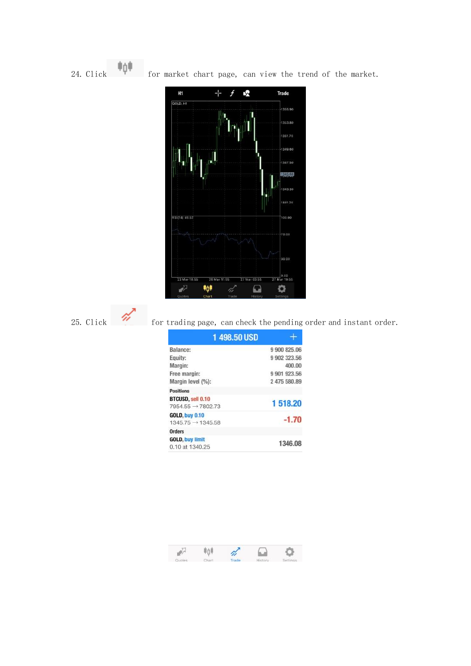24. Click **for market chart page, can view the trend of the market.** 



## 25. Click for trading page, can check the pending order and instant order.

| 1 498,50 USD                                           |              |
|--------------------------------------------------------|--------------|
| Balance:                                               | 9 900 825.06 |
| Equity:                                                | 9 902 323.56 |
| Margin:                                                | 400.00       |
| Free margin:                                           | 9 901 923.56 |
| Margin level (%):                                      | 2 475 580.89 |
| <b>Positions</b>                                       |              |
| BTCUSD, sell 0.10<br>$7954.55 \rightarrow 7802.73$     | 1518.20      |
| <b>GOLD, buy 0.10</b><br>$1345.75 \rightarrow 1345.58$ | $-1.70$      |
| <b>Orders</b>                                          |              |
| <b>GOLD, buy limit</b><br>0.10 at 1340.25              | 1346.08      |

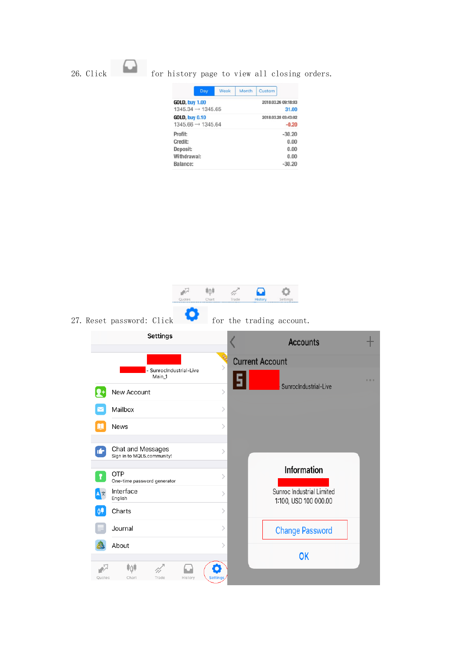## 26. Click for history page to view all closing orders.

|                                                           | Day | Week | Month               | Custom              |                                              |
|-----------------------------------------------------------|-----|------|---------------------|---------------------|----------------------------------------------|
| <b>GOLD, buy 1.00</b><br>$1345.34 \rightarrow 1345.65$    |     |      | 2018.03.26 09:18:03 | 31.00               |                                              |
| <b>GOLD, buy 0.10</b><br>$1345.66 \rightarrow 1345.64$    |     |      |                     | 2018.03.28 03:43:02 | $-0.20$                                      |
| Profit:<br>Credit:<br>Deposit:<br>Withdrawal:<br>Balance: |     |      |                     |                     | $-30.20$<br>0.00<br>0.00<br>0.00<br>$-30.20$ |